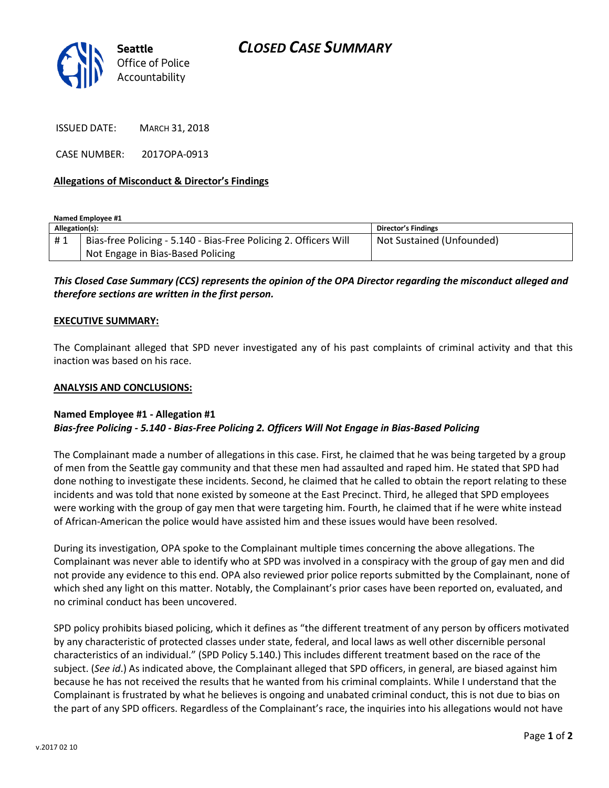

ISSUED DATE: MARCH 31, 2018

CASE NUMBER: 2017OPA-0913

## **Allegations of Misconduct & Director's Findings**

**Named Employee #1**

| Allegation(s): |                                                                  | Director's Findings       |
|----------------|------------------------------------------------------------------|---------------------------|
| #1             | Bias-free Policing - 5.140 - Bias-Free Policing 2. Officers Will | Not Sustained (Unfounded) |
|                | Not Engage in Bias-Based Policing                                |                           |

*This Closed Case Summary (CCS) represents the opinion of the OPA Director regarding the misconduct alleged and therefore sections are written in the first person.* 

## **EXECUTIVE SUMMARY:**

The Complainant alleged that SPD never investigated any of his past complaints of criminal activity and that this inaction was based on his race.

#### **ANALYSIS AND CONCLUSIONS:**

## **Named Employee #1 - Allegation #1** *Bias-free Policing - 5.140 - Bias-Free Policing 2. Officers Will Not Engage in Bias-Based Policing*

The Complainant made a number of allegations in this case. First, he claimed that he was being targeted by a group of men from the Seattle gay community and that these men had assaulted and raped him. He stated that SPD had done nothing to investigate these incidents. Second, he claimed that he called to obtain the report relating to these incidents and was told that none existed by someone at the East Precinct. Third, he alleged that SPD employees were working with the group of gay men that were targeting him. Fourth, he claimed that if he were white instead of African-American the police would have assisted him and these issues would have been resolved.

During its investigation, OPA spoke to the Complainant multiple times concerning the above allegations. The Complainant was never able to identify who at SPD was involved in a conspiracy with the group of gay men and did not provide any evidence to this end. OPA also reviewed prior police reports submitted by the Complainant, none of which shed any light on this matter. Notably, the Complainant's prior cases have been reported on, evaluated, and no criminal conduct has been uncovered.

SPD policy prohibits biased policing, which it defines as "the different treatment of any person by officers motivated by any characteristic of protected classes under state, federal, and local laws as well other discernible personal characteristics of an individual." (SPD Policy 5.140.) This includes different treatment based on the race of the subject. (*See id*.) As indicated above, the Complainant alleged that SPD officers, in general, are biased against him because he has not received the results that he wanted from his criminal complaints. While I understand that the Complainant is frustrated by what he believes is ongoing and unabated criminal conduct, this is not due to bias on the part of any SPD officers. Regardless of the Complainant's race, the inquiries into his allegations would not have